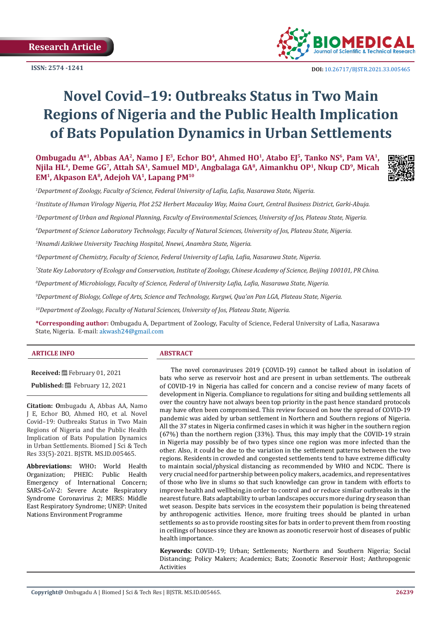**Research Article**



 **DOI:** [10.26717/BJSTR.2021.33.0054](http://dx.doi.org/10.26717/BJSTR.2021.33.005465)65

# **Novel Covid–19: Outbreaks Status in Two Main Regions of Nigeria and the Public Health Implication of Bats Population Dynamics in Urban Settlements**

Ombugadu A<sup>\*1</sup>, Abbas AA<sup>2</sup>, Namo J E<sup>3</sup>, Echor BO<sup>4</sup>, Ahmed HO<sup>1</sup>, Atabo EJ<sup>5</sup>, Tanko NS<sup>6</sup>, Pam VA<sup>1</sup>, **Njila HL4, Deme GG7, Attah SA1, Samuel MD1, Angbalaga GA8, Aimankhu OP1, Nkup CD9, Micah EM1, Akpason EA8, Adejoh VA1, Lapang PM10**

*1 Department of Zoology, Faculty of Science, Federal University of Lafia, Lafia, Nasarawa State, Nigeria.*

*2 Institute of Human Virology Nigeria, Plot 252 Herbert Macaulay Way, Maina Court, Central Business District, Garki-Abuja.*

*3 Department of Urban and Regional Planning, Faculty of Environmental Sciences, University of Jos, Plateau State, Nigeria.*

*4 Department of Science Laboratory Technology, Faculty of Natural Sciences, University of Jos, Plateau State, Nigeria.*

*5 Nnamdi Azikiwe University Teaching Hospital, Nnewi, Anambra State, Nigeria.*

*6 Department of Chemistry, Faculty of Science, Federal University of Lafia, Lafia, Nasarawa State, Nigeria.*

*7 State Key Laboratory of Ecology and Conservation, Institute of Zoology, Chinese Academy of Science, Beijing 100101, PR China.*

*8 Department of Microbiology, Faculty of Science, Federal of University Lafia, Lafia, Nasarawa State, Nigeria.*

*9 Department of Biology, College of Arts, Science and Technology, Kurgwi, Qua'an Pan LGA, Plateau State, Nigeria.*

*10Department of Zoology, Faculty of Natural Sciences, University of Jos, Plateau State, Nigeria.*

**\*Corresponding author:** Ombugadu A, Department of Zoology, Faculty of Science, Federal University of Lafia, Nasarawa State, Nigeria. E-mail: akwash24@gmail.com

# **ARTICLE INFO ABSTRACT**

**Received:** February 01, 2021 **Published:** 巴 February 12, 2021

**Citation: O**mbugadu A, Abbas AA, Namo J E, Echor BO, Ahmed HO, et al. Novel Covid–19: Outbreaks Status in Two Main Regions of Nigeria and the Public Health Implication of Bats Population Dynamics in Urban Settlements. Biomed J Sci & Tech Res 33(5)-2021. BJSTR. MS.ID.005465.

**Abbreviations:** WHO: World Health<br>Organization: PHEIC: Public Health Organization; PHEIC: Public Emergency of International Concern; SARS-CoV-2: Severe Acute Respiratory Syndrome Coronavirus 2; MERS: Middle East Respiratory Syndrome; UNEP: United Nations Environment Programme

The novel coronaviruses 2019 (COVID-19) cannot be talked about in isolation of bats who serve as reservoir host and are present in urban settlements. The outbreak of COVID-19 in Nigeria has called for concern and a concise review of many facets of development in Nigeria. Compliance to regulations for siting and building settlements all over the country have not always been top priority in the past hence standard protocols may have often been compromised. This review focused on how the spread of COVID-19 pandemic was aided by urban settlement in Northern and Southern regions of Nigeria. All the 37 states in Nigeria confirmed cases in which it was higher in the southern region (67%) than the northern region (33%). Thus, this may imply that the COVID-19 strain in Nigeria may possibly be of two types since one region was more infected than the other. Also, it could be due to the variation in the settlement patterns between the two regions. Residents in crowded and congested settlements tend to have extreme difficulty to maintain social/physical distancing as recommended by WHO and NCDC. There is very crucial need for partnership between policy makers, academics, and representatives of those who live in slums so that such knowledge can grow in tandem with efforts to improve health and wellbeing.in order to control and or reduce similar outbreaks in the nearest future. Bats adaptability to urban landscapes occurs more during dry season than wet season. Despite bats services in the ecosystem their population is being threatened by anthropogenic activities. Hence, more fruiting trees should be planted in urban settlements so as to provide roosting sites for bats in order to prevent them from roosting in ceilings of houses since they are known as zoonotic reservoir host of diseases of public health importance.

**Keywords:** COVID-19; Urban; Settlements; Northern and Southern Nigeria; Social Distancing; Policy Makers; Academics; Bats; Zoonotic Reservoir Host; Anthropogenic Activities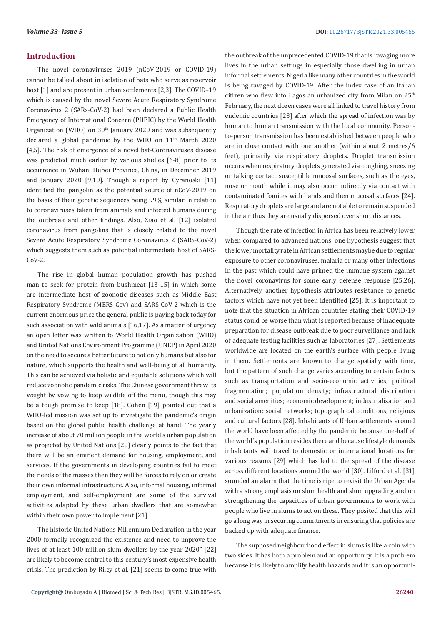# **Introduction**

The novel coronaviruses 2019 (nCoV-2019 or COVID-19) cannot be talked about in isolation of bats who serve as reservoir host [1] and are present in urban settlements [2,3]. The COVID–19 which is caused by the novel Severe Acute Respiratory Syndrome Coronavirus 2 (SARs-CoV-2) had been declared a Public Health Emergency of International Concern (PHEIC) by the World Health Organization (WHO) on  $30<sup>th</sup>$  January 2020 and was subsequently declared a global pandemic by the WHO on 11<sup>th</sup> March 2020 [4,5]. The risk of emergence of a novel bat-Coronaviruses disease was predicted much earlier by various studies [6-8] prior to its occurrence in Wuhan, Hubei Province, China, in December 2019 and January 2020 [9,10]. Though a report by Cyranoski [11] identified the pangolin as the potential source of nCoV-2019 on the basis of their genetic sequences being 99% similar in relation to coronaviruses taken from animals and infected humans during the outbreak and other findings. Also, Xiao et al. [12] isolated coronavirus from pangolins that is closely related to the novel Severe Acute Respiratory Syndrome Coronavirus 2 (SARS-CoV-2) which suggests them such as potential intermediate host of SARS-CoV-2.

The rise in global human population growth has pushed man to seek for protein from bushmeat [13-15] in which some are intermediate host of zoonotic diseases such as Middle East Respiratory Syndrome (MERS-Cov) and SARS-CoV-2 which is the current enormous price the general public is paying back today for such association with wild animals [16,17]. As a matter of urgency an open letter was written to World Health Organization (WHO) and United Nations Environment Programme (UNEP) in April 2020 on the need to secure a better future to not only humans but also for nature, which supports the health and well-being of all humanity. This can be achieved via holistic and equitable solutions which will reduce zoonotic pandemic risks. The Chinese government threw its weight by vowing to keep wildlife off the menu, though this may be a tough promise to keep [18]. Cohen [19] pointed out that a WHO-led mission was set up to investigate the pandemic's origin based on the global public health challenge at hand. The yearly increase of about 70 million people in the world's urban population as projected by United Nations [20] clearly points to the fact that there will be an eminent demand for housing, employment, and services. If the governments in developing countries fail to meet the needs of the masses then they will be forces to rely on or create their own informal infrastructure. Also, informal housing, informal employment, and self-employment are some of the survival activities adapted by these urban dwellers that are somewhat within their own power to implement [21].

The historic United Nations Millennium Declaration in the year 2000 formally recognized the existence and need to improve the lives of at least 100 million slum dwellers by the year 2020" [22] are likely to become central to this century's most expensive health crisis. The prediction by Riley et al. [21] seems to come true with

the outbreak of the unprecedented COVID-19 that is ravaging more lives in the urban settings in especially those dwelling in urban informal settlements. Nigeria like many other countries in the world is being ravaged by COVID-19. After the index case of an Italian citizen who flew into Lagos an urbanized city from Milan on  $25<sup>th</sup>$ February, the next dozen cases were all linked to travel history from endemic countries [23] after which the spread of infection was by human to human transmission with the local community. Personto-person transmission has been established between people who are in close contact with one another (within about 2 metres/6 feet), primarily via respiratory droplets. Droplet transmission occurs when respiratory droplets generated via coughing, sneezing or talking contact susceptible mucosal surfaces, such as the eyes, nose or mouth while it may also occur indirectly via contact with contaminated fomites with hands and then mucosal surfaces [24]. Respiratory droplets are large and are not able to remain suspended in the air thus they are usually dispersed over short distances.

Though the rate of infection in Africa has been relatively lower when compared to advanced nations, one hypothesis suggest that the lower mortality rate in African settlements maybe due to regular exposure to other coronaviruses, malaria or many other infections in the past which could have primed the immune system against the novel coronavirus for some early defense response [25,26]. Alternatively, another hypothesis attributes resistance to genetic factors which have not yet been identified [25]. It is important to note that the situation in African countries stating their COVID-19 status could be worse than what is reported because of inadequate preparation for disease outbreak due to poor surveillance and lack of adequate testing facilities such as laboratories [27]. Settlements worldwide are located on the earth's surface with people living in them. Settlements are known to change spatially with time, but the pattern of such change varies according to certain factors such as transportation and socio-economic activities; political fragmentation; population density; infrastructural distribution and social amenities; economic development; industrialization and urbanization; social networks; topographical conditions; religious and cultural factors [28]. Inhabitants of Urban settlements around the world have been affected by the pandemic because one-half of the world's population resides there and because lifestyle demands inhabitants will travel to domestic or international locations for various reasons [29] which has led to the spread of the disease across different locations around the world [30]. Lilford et al. [31] sounded an alarm that the time is ripe to revisit the Urban Agenda with a strong emphasis on slum health and slum upgrading and on strengthening the capacities of urban governments to work with people who live in slums to act on these. They posited that this will go a long way in securing commitments in ensuring that policies are backed up with adequate finance.

The supposed neighbourhood effect in slums is like a coin with two sides. It has both a problem and an opportunity. It is a problem because it is likely to amplify health hazards and it is an opportuni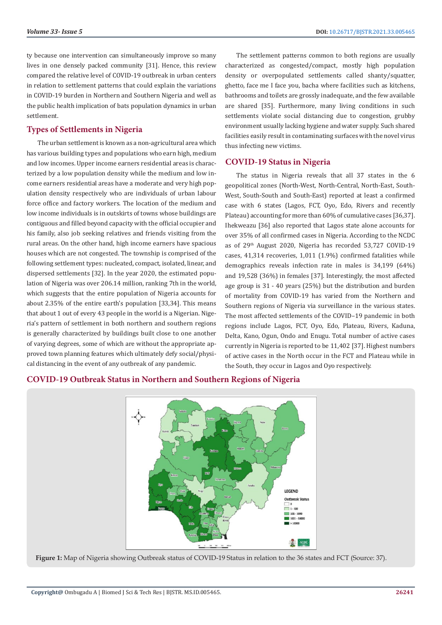ty because one intervention can simultaneously improve so many lives in one densely packed community [31]. Hence, this review compared the relative level of COVID-19 outbreak in urban centers in relation to settlement patterns that could explain the variations in COVID-19 burden in Northern and Southern Nigeria and well as the public health implication of bats population dynamics in urban settlement.

# **Types of Settlements in Nigeria**

The urban settlement is known as a non-agricultural area which has various building types and populations who earn high, medium and low incomes. Upper income earners residential areas is characterized by a low population density while the medium and low income earners residential areas have a moderate and very high population density respectively who are individuals of urban labour force office and factory workers. The location of the medium and low income individuals is in outskirts of towns whose buildings are contiguous and filled beyond capacity with the official occupier and his family, also job seeking relatives and friends visiting from the rural areas. On the other hand, high income earners have spacious houses which are not congested. The township is comprised of the following settlement types: nucleated, compact, isolated, linear, and dispersed settlements [32]. In the year 2020, the estimated population of Nigeria was over 206.14 million, ranking 7th in the world, which suggests that the entire population of Nigeria accounts for about 2.35% of the entire earth's population [33,34]. This means that about 1 out of every 43 people in the world is a Nigerian. Nigeria's pattern of settlement in both northern and southern regions is generally characterized by buildings built close to one another of varying degrees, some of which are without the appropriate approved town planning features which ultimately defy social/physical distancing in the event of any outbreak of any pandemic.

The settlement patterns common to both regions are usually characterized as congested/compact, mostly high population density or overpopulated settlements called shanty/squatter, ghetto, face me I face you, bacha where facilities such as kitchens, bathrooms and toilets are grossly inadequate, and the few available are shared [35]. Furthermore, many living conditions in such settlements violate social distancing due to congestion, grubby environment usually lacking hygiene and water supply. Such shared facilities easily result in contaminating surfaces with the novel virus thus infecting new victims.

# **COVID-19 Status in Nigeria**

The status in Nigeria reveals that all 37 states in the 6 geopolitical zones (North-West, North-Central, North-East, South-West, South-South and South-East) reported at least a confirmed case with 6 states (Lagos, FCT, Oyo, Edo, Rivers and recently Plateau) accounting for more than 60% of cumulative cases [36,37]. Ihekweazu [36] also reported that Lagos state alone accounts for over 35% of all confirmed cases in Nigeria. According to the NCDC as of 29th August 2020, Nigeria has recorded 53,727 COVID-19 cases, 41,314 recoveries, 1,011 (1.9%) confirmed fatalities while demographics reveals infection rate in males is 34,199 (64%) and 19,528 (36%) in females [37]. Interestingly, the most affected age group is 31 - 40 years (25%) but the distribution and burden of mortality from COVID-19 has varied from the Northern and Southern regions of Nigeria via surveillance in the various states. The most affected settlements of the COVID–19 pandemic in both regions include Lagos, FCT, Oyo, Edo, Plateau, Rivers, Kaduna, Delta, Kano, Ogun, Ondo and Enugu. Total number of active cases currently in Nigeria is reported to be 11,402 [37]. Highest numbers of active cases in the North occur in the FCT and Plateau while in the South, they occur in Lagos and Oyo respectively.

# **COVID-19 Outbreak Status in Northern and Southern Regions of Nigeria**



**Figure 1:** Map of Nigeria showing Outbreak status of COVID-19 Status in relation to the 36 states and FCT (Source: 37).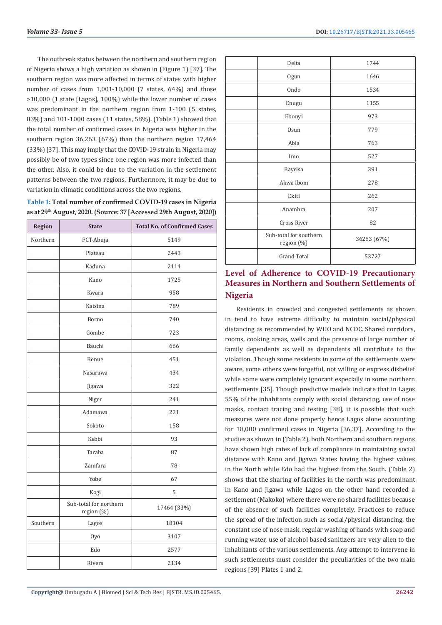The outbreak status between the northern and southern region of Nigeria shows a high variation as shown in (Figure 1) [37]. The southern region was more affected in terms of states with higher number of cases from 1,001-10,000 (7 states, 64%) and those >10,000 (1 state [Lagos], 100%) while the lower number of cases was predominant in the northern region from 1-100 (5 states, 83%) and 101-1000 cases (11 states, 58%). (Table 1) showed that the total number of confirmed cases in Nigeria was higher in the southern region 36,263 (67%) than the northern region 17,464 (33%) [37]. This may imply that the COVID-19 strain in Nigeria may possibly be of two types since one region was more infected than the other. Also, it could be due to the variation in the settlement patterns between the two regions. Furthermore, it may be due to variation in climatic conditions across the two regions.

| Table 1: Total number of confirmed COVID-19 cases in Nigeria                   |
|--------------------------------------------------------------------------------|
| as at 29 <sup>th</sup> August, 2020. (Source: 37 [Accessed 29th August, 2020]) |

| Region   | <b>State</b>                         | <b>Total No. of Confirmed Cases</b> |
|----------|--------------------------------------|-------------------------------------|
| Northern | FCT-Abuja                            | 5149                                |
|          | Plateau                              | 2443                                |
|          | Kaduna                               | 2114                                |
|          | Kano                                 | 1725                                |
|          | Kwara                                | 958                                 |
|          | Katsina                              | 789                                 |
|          | Borno                                | 740                                 |
|          | Gombe                                | 723                                 |
|          | Bauchi                               | 666                                 |
|          | Benue                                | 451                                 |
|          | Nasarawa                             | 434                                 |
|          | Jigawa                               | 322                                 |
|          | Niger                                | 241                                 |
|          | Adamawa                              | 221                                 |
|          | Sokoto                               | 158                                 |
|          | Kebbi                                | 93                                  |
|          | Taraba                               | 87                                  |
|          | Zamfara                              | 78                                  |
|          | Yobe                                 | 67                                  |
|          | Kogi                                 | 5                                   |
|          | Sub-total for northern<br>region (%) | 17464 (33%)                         |
| Southern | Lagos                                | 18104                               |
|          | Oyo                                  | 3107                                |
|          | Edo                                  | 2577                                |
|          | Rivers                               | 2134                                |

| Delta                                | 1744        |
|--------------------------------------|-------------|
| Ogun                                 | 1646        |
| Ondo                                 | 1534        |
| Enugu                                | 1155        |
| Ebonyi                               | 973         |
| <b>Osun</b>                          | 779         |
| Abia                                 | 763         |
| Imo                                  | 527         |
| Bayelsa                              | 391         |
| Akwa Ibom                            | 278         |
| Ekiti                                | 262         |
| Anambra                              | 207         |
| <b>Cross River</b>                   | 82          |
| Sub-total for southern<br>region (%) | 36263 (67%) |
| <b>Grand Total</b>                   | 53727       |

# **Level of Adherence to COVID-19 Precautionary Measures in Northern and Southern Settlements of Nigeria**

Residents in crowded and congested settlements as shown in tend to have extreme difficulty to maintain social/physical distancing as recommended by WHO and NCDC. Shared corridors, rooms, cooking areas, wells and the presence of large number of family dependents as well as dependents all contribute to the violation. Though some residents in some of the settlements were aware, some others were forgetful, not willing or express disbelief while some were completely ignorant especially in some northern settlements [35]. Though predictive models indicate that in Lagos 55% of the inhabitants comply with social distancing, use of nose masks, contact tracing and testing [38], it is possible that such measures were not done properly hence Lagos alone accounting for 18,000 confirmed cases in Nigeria [36,37]. According to the studies as shown in (Table 2), both Northern and southern regions have shown high rates of lack of compliance in maintaining social distance with Kano and Jigawa States having the highest values in the North while Edo had the highest from the South. (Table 2) shows that the sharing of facilities in the north was predominant in Kano and Jigawa while Lagos on the other hand recorded a settlement (Makoko) where there were no shared facilities because of the absence of such facilities completely. Practices to reduce the spread of the infection such as social/physical distancing, the constant use of nose mask, regular washing of hands with soap and running water, use of alcohol based sanitizers are very alien to the inhabitants of the various settlements. Any attempt to intervene in such settlements must consider the peculiarities of the two main regions [39] Plates 1 and 2.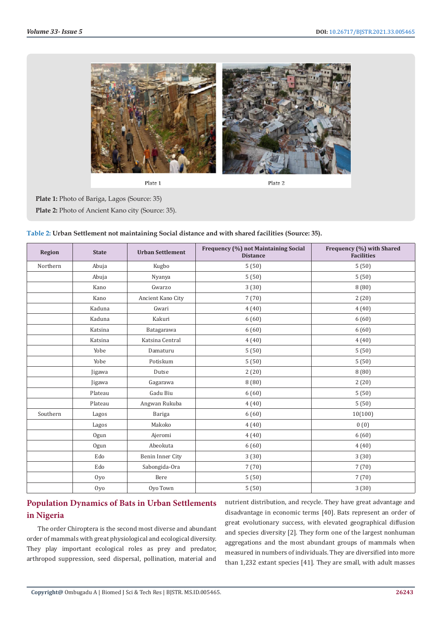

Plate 1

Plate 2

**Plate 1:** Photo of Bariga, Lagos (Source: 35) **Plate 2:** Photo of Ancient Kano city (Source: 35).

| <b>Region</b> | <b>State</b> | <b>Urban Settlement</b> | Frequency (%) not Maintaining Social<br><b>Distance</b> | Frequency (%) with Shared<br><b>Facilities</b> |
|---------------|--------------|-------------------------|---------------------------------------------------------|------------------------------------------------|
| Northern      | Abuja        | Kugbo                   | 5(50)                                                   | 5(50)                                          |
|               | Abuja        | Nyanya                  | 5(50)                                                   | 5(50)                                          |
|               | Kano         | Gwarzo                  | 3(30)                                                   | 8(80)                                          |
|               | Kano         | Ancient Kano City       | 7(70)                                                   | 2(20)                                          |
|               | Kaduna       | Gwari                   | 4(40)                                                   | 4(40)                                          |
|               | Kaduna       | Kakuri                  | 6(60)                                                   | 6(60)                                          |
|               | Katsina      | Batagarawa              | 6(60)                                                   | 6(60)                                          |
|               | Katsina      | Katsina Central         | 4(40)                                                   | 4(40)                                          |
|               | Yobe         | Damaturu                | 5(50)                                                   | 5(50)                                          |
|               | Yobe         | Potiskum                | 5(50)                                                   | 5(50)                                          |
|               | Jigawa       | Dutse                   | 2(20)                                                   | 8(80)                                          |
|               | Jigawa       | Gagarawa                | 8(80)                                                   | 2(20)                                          |
|               | Plateau      | Gadu Biu                | 6(60)                                                   | 5(50)                                          |
|               | Plateau      | Angwan Rukuba           | 4(40)                                                   | 5(50)                                          |
| Southern      | Lagos        | Bariga                  | 6(60)                                                   | 10(100)                                        |
|               | Lagos        | Makoko                  | 4(40)                                                   | 0(0)                                           |
|               | Ogun         | Ajeromi                 | 4(40)                                                   | 6(60)                                          |
|               | Ogun         | Abeokuta                | 6(60)                                                   | 4(40)                                          |
|               | Edo          | Benin Inner City        | 3(30)                                                   | 3(30)                                          |
|               | Edo          | Sabongida-Ora           | 7(70)                                                   | 7(70)                                          |
|               | Oyo          | Bere                    | 5(50)                                                   | 7(70)                                          |
|               | 0yo          | Oyo Town                | 5(50)                                                   | 3(30)                                          |

| Table 2: Urban Settlement not maintaining Social distance and with shared facilities (Source: 35). |  |  |
|----------------------------------------------------------------------------------------------------|--|--|
|----------------------------------------------------------------------------------------------------|--|--|

# **Population Dynamics of Bats in Urban Settlements in Nigeria**

The order Chiroptera is the second most diverse and abundant order of mammals with great physiological and ecological diversity. They play important ecological roles as prey and predator, arthropod suppression, seed dispersal, pollination, material and

nutrient distribution, and recycle. They have great advantage and disadvantage in economic terms [40]. Bats represent an order of great evolutionary success, with elevated geographical diffusion and species diversity [2]. They form one of the largest nonhuman aggregations and the most abundant groups of mammals when measured in numbers of individuals. They are diversified into more than 1,232 extant species [41]. They are small, with adult masses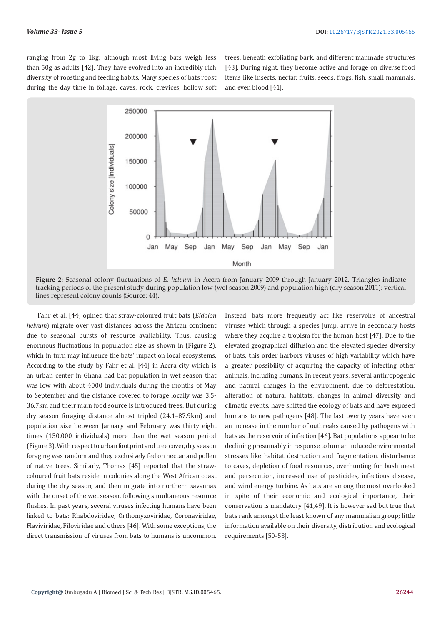ranging from 2g to 1kg; although most living bats weigh less than 50g as adults [42]. They have evolved into an incredibly rich diversity of roosting and feeding habits. Many species of bats roost during the day time in foliage, caves, rock, crevices, hollow soft trees, beneath exfoliating bark, and different manmade structures [43]. During night, they become active and forage on diverse food items like insects, nectar, fruits, seeds, frogs, fish, small mammals, and even blood [41].



**Figure 2:** Seasonal colony fluctuations of *E. helvum* in Accra from January 2009 through January 2012. Triangles indicate tracking periods of the present study during population low (wet season 2009) and population high (dry season 2011); vertical lines represent colony counts (Source: 44).

Fahr et al. [44] opined that straw-coloured fruit bats (*Eidolon helvum*) migrate over vast distances across the African continent due to seasonal bursts of resource availability. Thus, causing enormous fluctuations in population size as shown in (Figure 2), which in turn may influence the bats' impact on local ecosystems. According to the study by Fahr et al. [44] in Accra city which is an urban center in Ghana had bat population in wet season that was low with about 4000 individuals during the months of May to September and the distance covered to forage locally was 3.5- 36.7km and their main food source is introduced trees. But during dry season foraging distance almost tripled (24.1–87.9km) and population size between January and February was thirty eight times (150,000 individuals) more than the wet season period (Figure 3). With respect to urban footprint and tree cover, dry season foraging was random and they exclusively fed on nectar and pollen of native trees. Similarly, Thomas [45] reported that the strawcoloured fruit bats reside in colonies along the West African coast during the dry season, and then migrate into northern savannas with the onset of the wet season, following simultaneous resource flushes. In past years, several viruses infecting humans have been linked to bats: Rhabdoviridae, Orthomyxoviridae, Coronaviridae, Flaviviridae, Filoviridae and others [46]. With some exceptions, the direct transmission of viruses from bats to humans is uncommon. Instead, bats more frequently act like reservoirs of ancestral viruses which through a species jump, arrive in secondary hosts where they acquire a tropism for the human host [47]. Due to the elevated geographical diffusion and the elevated species diversity of bats, this order harbors viruses of high variability which have a greater possibility of acquiring the capacity of infecting other animals, including humans. In recent years, several anthropogenic and natural changes in the environment, due to deforestation, alteration of natural habitats, changes in animal diversity and climatic events, have shifted the ecology of bats and have exposed humans to new pathogens [48]. The last twenty years have seen an increase in the number of outbreaks caused by pathogens with bats as the reservoir of infection [46]. Bat populations appear to be declining presumably in response to human induced environmental stresses like habitat destruction and fragmentation, disturbance to caves, depletion of food resources, overhunting for bush meat and persecution, increased use of pesticides, infectious disease, and wind energy turbine. As bats are among the most overlooked in spite of their economic and ecological importance, their conservation is mandatory [41,49]. It is however sad but true that bats rank amongst the least known of any mammalian group; little information available on their diversity, distribution and ecological requirements [50-53].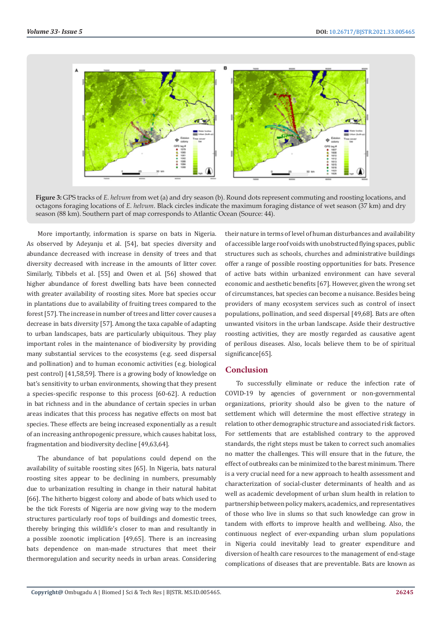

**Figure 3:** GPS tracks of *E. helvum* from wet (a) and dry season (b). Round dots represent commuting and roosting locations, and octagons foraging locations of *E. helvum*. Black circles indicate the maximum foraging distance of wet season (37 km) and dry season (88 km). Southern part of map corresponds to Atlantic Ocean (Source: 44).

More importantly, information is sparse on bats in Nigeria. As observed by Adeyanju et al. [54], bat species diversity and abundance decreased with increase in density of trees and that diversity decreased with increase in the amounts of litter cover. Similarly, Tibbels et al. [55] and Owen et al. [56] showed that higher abundance of forest dwelling bats have been connected with greater availability of roosting sites. More bat species occur in plantations due to availability of fruiting trees compared to the forest [57]. The increase in number of trees and litter cover causes a decrease in bats diversity [57]. Among the taxa capable of adapting to urban landscapes, bats are particularly ubiquitous. They play important roles in the maintenance of biodiversity by providing many substantial services to the ecosystems (e.g. seed dispersal and pollination) and to human economic activities (e.g. biological pest control) [41,58,59]. There is a growing body of knowledge on bat's sensitivity to urban environments, showing that they present a species-specific response to this process [60-62]. A reduction in bat richness and in the abundance of certain species in urban areas indicates that this process has negative effects on most bat species. These effects are being increased exponentially as a result of an increasing anthropogenic pressure, which causes habitat loss, fragmentation and biodiversity decline [49,63,64].

The abundance of bat populations could depend on the availability of suitable roosting sites [65]. In Nigeria, bats natural roosting sites appear to be declining in numbers, presumably due to urbanization resulting in change in their natural habitat [66]. The hitherto biggest colony and abode of bats which used to be the tick Forests of Nigeria are now giving way to the modern structures particularly roof tops of buildings and domestic trees, thereby bringing this wildlife's closer to man and resultantly in a possible zoonotic implication [49,65]. There is an increasing bats dependence on man-made structures that meet their thermoregulation and security needs in urban areas. Considering their nature in terms of level of human disturbances and availability of accessible large roof voids with unobstructed flying spaces, public structures such as schools, churches and administrative buildings offer a range of possible roosting opportunities for bats. Presence of active bats within urbanized environment can have several economic and aesthetic benefits [67]. However, given the wrong set of circumstances, bat species can become a nuisance. Besides being providers of many ecosystem services such as control of insect populations, pollination, and seed dispersal [49,68]. Bats are often unwanted visitors in the urban landscape. Aside their destructive roosting activities, they are mostly regarded as causative agent of perilous diseases. Also, locals believe them to be of spiritual significance<sup>[65]</sup>.

# **Conclusion**

To successfully eliminate or reduce the infection rate of COVID-19 by agencies of government or non-governmental organizations, priority should also be given to the nature of settlement which will determine the most effective strategy in relation to other demographic structure and associated risk factors. For settlements that are established contrary to the approved standards, the right steps must be taken to correct such anomalies no matter the challenges. This will ensure that in the future, the effect of outbreaks can be minimized to the barest minimum. There is a very crucial need for a new approach to health assessment and characterization of social-cluster determinants of health and as well as academic development of urban slum health in relation to partnership between policy makers, academics, and representatives of those who live in slums so that such knowledge can grow in tandem with efforts to improve health and wellbeing. Also, the continuous neglect of ever-expanding urban slum populations in Nigeria could inevitably lead to greater expenditure and diversion of health care resources to the management of end-stage complications of diseases that are preventable. Bats are known as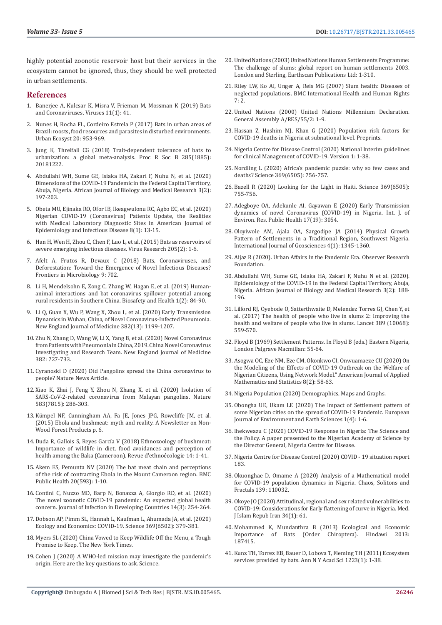highly potential zoonotic reservoir host but their services in the ecosystem cannot be ignored, thus, they should be well protected in urban settlements.

### **References**

- 1. [Banerjee A, Kulcsar K, Misra V, Frieman M, Mossman K \(2019\) Bats](https://www.researchgate.net/publication/330262394_Bats_and_Coronaviruses)  [and Coronaviruses. Viruses 11\(1\): 41.](https://www.researchgate.net/publication/330262394_Bats_and_Coronaviruses)
- 2. [Nunes H, Rocha FL, Cordeiro Estrela P \(2017\) Bats in urban areas of](https://link.springer.com/article/10.1007/s11252-016-0632-3)  [Brazil: roosts, food resources and parasites in disturbed environments.](https://link.springer.com/article/10.1007/s11252-016-0632-3)  [Urban Ecosyst 20: 953-969.](https://link.springer.com/article/10.1007/s11252-016-0632-3)
- 3. [Jung K, Threlfall CG \(2018\) Trait-dependent tolerance of bats to](https://royalsocietypublishing.org/doi/10.1098/rspb.2018.1222)  [urbanization: a global meta-analysis. Proc R Soc B 285\(1885\):](https://royalsocietypublishing.org/doi/10.1098/rspb.2018.1222)  [20181222.](https://royalsocietypublishing.org/doi/10.1098/rspb.2018.1222)
- 4. [Abdullahi WH, Sume GE, Isiaka HA, Zakari F, Nuhu N, et al. \(2020\)](https://abjournals.org/african-journal-of-biology-and-medical-research-ajbmr/wp-content/uploads/sites/17/journal/published_paper/volume-3/issue-2/AJBMR_R3ML7XTW.pdf)  [Dimensions of the COVID-19 Pandemic in the Federal Capital Territory,](https://abjournals.org/african-journal-of-biology-and-medical-research-ajbmr/wp-content/uploads/sites/17/journal/published_paper/volume-3/issue-2/AJBMR_R3ML7XTW.pdf)  [Abuja, Nigeria. African Journal of Biology and Medical Research 3\(2\):](https://abjournals.org/african-journal-of-biology-and-medical-research-ajbmr/wp-content/uploads/sites/17/journal/published_paper/volume-3/issue-2/AJBMR_R3ML7XTW.pdf)  [197-203.](https://abjournals.org/african-journal-of-biology-and-medical-research-ajbmr/wp-content/uploads/sites/17/journal/published_paper/volume-3/issue-2/AJBMR_R3ML7XTW.pdf)
- 5. [Obeta MU, Ejinaka RO, Ofor IB, Ikeagwulonu RC, Agbo EC, et al. \(2020\)](http://pubs.sciepub.com/ajeid/8/1/3/index.html)  [Nigerian COVID-19 \(Coronavirus\) Patients Update, the Realities](http://pubs.sciepub.com/ajeid/8/1/3/index.html)  [with Medical Laboratory Diagnostic Sites in American Journal of](http://pubs.sciepub.com/ajeid/8/1/3/index.html)  [Epidemiology and Infectious Disease 8\(1\): 13-15.](http://pubs.sciepub.com/ajeid/8/1/3/index.html)
- 6. [Han H, Wen H, Zhou C, Chen F, Luo L, et al. \(2015\) Bats as reservoirs of](https://www.sciencedirect.com/science/article/pii/S016817021500177X?via%3Dihub)  [severe emerging infectious diseases. Virus Research 205\(2\): 1-6.](https://www.sciencedirect.com/science/article/pii/S016817021500177X?via%3Dihub)
- 7. [Afelt A, Frutos R, Devaux C \(2018\) Bats, Coronaviruses, and](https://www.frontiersin.org/articles/10.3389/fmicb.2018.00702/full)  [Deforestation: Toward the Emergence of Novel Infectious Diseases?](https://www.frontiersin.org/articles/10.3389/fmicb.2018.00702/full)  [Frontiers in Microbiology 9: 702.](https://www.frontiersin.org/articles/10.3389/fmicb.2018.00702/full)
- 8. [Li H, Mendelsohn E, Zong C, Zhang W, Hagan E, et al. \(2019\) Human](https://www.sciencedirect.com/science/article/pii/S2590053619300308)[animal interactions and bat coronavirus spillover potential among](https://www.sciencedirect.com/science/article/pii/S2590053619300308)  [rural residents in Southern China. Biosafety and Health 1\(2\): 84-90.](https://www.sciencedirect.com/science/article/pii/S2590053619300308)
- 9. [Li Q, Guan X, Wu P, Wang X, Zhou L, et al. \(2020\) Early Transmission](https://www.nejm.org/doi/full/10.1056/nejmoa2001316)  [Dynamics in Wuhan, China, of Novel Coronavirus-Infected Pneumonia.](https://www.nejm.org/doi/full/10.1056/nejmoa2001316)  [New England Journal of Medicine 382\(13\): 1199-1207.](https://www.nejm.org/doi/full/10.1056/nejmoa2001316)
- 10. [Zhu N, Zhang D, Wang W, Li X, Yang B, et al. \(2020\) Novel Coronavirus](https://www.nejm.org/doi/full/10.1056/nejmoa2001017)  [from Patients with Pneumonia in China, 2019. China Novel Coronavirus](https://www.nejm.org/doi/full/10.1056/nejmoa2001017)  [Investigating and Research Team. New England Journal of Medicine](https://www.nejm.org/doi/full/10.1056/nejmoa2001017)  [382: 727-733.](https://www.nejm.org/doi/full/10.1056/nejmoa2001017)
- 11. [Cyranoski D \(2020\) Did Pangolins spread the China coronavirus to](https://www.nature.com/articles/d41586-020-00364-2)  [people? Nature News Article.](https://www.nature.com/articles/d41586-020-00364-2)
- 12. [Xiao K, Zhai J, Feng Y, Zhou N, Zhang X, et al. \(2020\) Isolation of](https://pubmed.ncbi.nlm.nih.gov/32380510/)  [SARS-CoV-2-related coronavirus from Malayan pangolins. Nature](https://pubmed.ncbi.nlm.nih.gov/32380510/)  [583\(7815\): 286-303.](https://pubmed.ncbi.nlm.nih.gov/32380510/)
- 13. [Kümpel NF, Cunningham AA, Fa JE, Jones JPG, Rowcliffe JM, et al.](https://www.researchgate.net/publication/276937390_Ebola_and_bushmeat_myth_and_reality)  [\(2015\) Ebola and bushmeat: myth and reality. A Newsletter on Non-](https://www.researchgate.net/publication/276937390_Ebola_and_bushmeat_myth_and_reality)[Wood Forest Products p. 6.](https://www.researchgate.net/publication/276937390_Ebola_and_bushmeat_myth_and_reality)
- 14. [Duda R, Gallois S, Reyes García V \(2018\) Ethnozoology of bushmeat:](https://journals.openedition.org/ethnoecologie/3976)  [Importance of wildlife in diet, food avoidances and perception of](https://journals.openedition.org/ethnoecologie/3976)  [health among the Baka \(Cameroon\). Revue d'ethnoécologie 14: 1-41.](https://journals.openedition.org/ethnoecologie/3976)
- 15. [Akem ES, Pemunta NV \(2020\) The bat meat chain and perceptions](https://bmcpublichealth.biomedcentral.com/articles/10.1186/s12889-020-08460-8)  [of the risk of contracting Ebola in the Mount Cameroon region. BMC](https://bmcpublichealth.biomedcentral.com/articles/10.1186/s12889-020-08460-8)  [Public Health 20\(593\): 1-10.](https://bmcpublichealth.biomedcentral.com/articles/10.1186/s12889-020-08460-8)
- 16. [Contini C, Nuzzo MD, Barp N, Bonazza A, Giorgio RD, et al. \(2020\)](https://www.jidc.org/index.php/journal/article/view/12671)  [The novel zoonotic COVID-19 pandemic: An expected global health](https://www.jidc.org/index.php/journal/article/view/12671)  [concern. Journal of Infection in Developing Countries 14\(3\): 254-264.](https://www.jidc.org/index.php/journal/article/view/12671)
- 17. [Dobson AP, Pimm SL, Hannah L, Kaufman L, Ahumada JA, et al. \(2020\)](https://experts.illinois.edu/en/publications/ecology-and-economics-for-pandemic-prevention-investments-to-prev)  [Ecology and Economics: COVID-19. Science 369\(6502\): 379-381.](https://experts.illinois.edu/en/publications/ecology-and-economics-for-pandemic-prevention-investments-to-prev)
- 18. [Myers SL \(2020\) China Vowed to Keep Wildlife Off the Menu, a Tough](https://www.nytimes.com/2020/06/07/world/asia/china-coronavirus-wildlife-ban.html)  [Promise to Keep. The New York Times.](https://www.nytimes.com/2020/06/07/world/asia/china-coronavirus-wildlife-ban.html)
- 19. [Cohen J \(2020\) A WHO-led mission may investigate the pandemic's](https://www.sciencemag.org/news/2020/07/who-led-mission-may-investigate-pandemic-s-origin-here-are-key-questions-ask)  [origin. Here are the key questions to ask. Science.](https://www.sciencemag.org/news/2020/07/who-led-mission-may-investigate-pandemic-s-origin-here-are-key-questions-ask)
- 20. [United Nations \(2003\) United Nations Human Settlements Programme:](https://www.un.org/ruleoflaw/files/Challenge%20of%20Slums.pdf)  [The challenge of slums: global report on human settlements 2003.](https://www.un.org/ruleoflaw/files/Challenge%20of%20Slums.pdf)  [London and Sterling, Earthscan Publications Ltd: 1-310.](https://www.un.org/ruleoflaw/files/Challenge%20of%20Slums.pdf)
- 21. [Riley LW, Ko AI, Unger A, Reis MG \(2007\) Slum health: Diseases of](https://bmcinthealthhumrights.biomedcentral.com/articles/10.1186/1472-698X-7-2)  [neglected populations. BMC International Health and Human Rights](https://bmcinthealthhumrights.biomedcentral.com/articles/10.1186/1472-698X-7-2)  [7: 2.](https://bmcinthealthhumrights.biomedcentral.com/articles/10.1186/1472-698X-7-2)
- 22. [United Nations \(2000\) United Nations Millennium Declaration.](https://www.un.org/en/development/desa/population/migration/generalassembly/docs/globalcompact/A_RES_55_2.pdf)  [General Assembly A/RES/55/2: 1-9.](https://www.un.org/en/development/desa/population/migration/generalassembly/docs/globalcompact/A_RES_55_2.pdf)
- 23. [Hassan Z, Hashim MJ, Khan G \(2020\) Population risk factors for](https://www.preprints.org/manuscript/202007.0621/v1)  [COVID-19 deaths in Nigeria at subnational level. Preprints.](https://www.preprints.org/manuscript/202007.0621/v1)
- 24. [Nigeria Centre for Disease Control \(2020\) National Interim guidelines](https://ncdc.gov.ng/themes/common/docs/protocols/177_1584210847.pdf)  [for clinical Management of COVID-19. Version 1: 1-38.](https://ncdc.gov.ng/themes/common/docs/protocols/177_1584210847.pdf)
- 25. [Nordling L \(2020\) Africa's pandemic puzzle: why so few cases and](https://pubmed.ncbi.nlm.nih.gov/32792376/)  [deaths? Science 369\(6505\): 756-757.](https://pubmed.ncbi.nlm.nih.gov/32792376/)
- 26. [Bazell R \(2020\) Looking for the Light in Haiti. Science 369\(6505\):](https://pubmed.ncbi.nlm.nih.gov/32792375/)  [755-756.](https://pubmed.ncbi.nlm.nih.gov/32792375/)
- 27. [Adegboye OA, Adekunle AI, Gayawan E \(2020\) Early Transmission](https://pubmed.ncbi.nlm.nih.gov/32353991/)  [dynamics of novel Coronavirus \(COVID-19\) in Nigeria. Int. J. of](https://pubmed.ncbi.nlm.nih.gov/32353991/)  [Environ. Res. Public Health 17\(19\): 3054.](https://pubmed.ncbi.nlm.nih.gov/32353991/)
- 28. [Oloyiwole AM, Ajala OA, Sargodipe JA \(2014\) Physical Growth](https://file.scirp.org/pdf/IJG_2014102714074902.pdf)  [Pattern of Settlements in a Traditional Region, Southwest Nigeria.](https://file.scirp.org/pdf/IJG_2014102714074902.pdf)  [International Journal of Geosciences 4\(1\): 1345-1360.](https://file.scirp.org/pdf/IJG_2014102714074902.pdf)
- 29. [Aijaz R \(2020\). Urban Affairs in the Pandemic Era. Observer Research](https://www.orfonline.org/expert-speak/urban-affairs-in-the-pandemic-era/)  [Foundation.](https://www.orfonline.org/expert-speak/urban-affairs-in-the-pandemic-era/)
- 30. [Abdullahi WH, Sume GE, Isiaka HA, Zakari F, Nuhu N et al. \(2020\).](https://abjournals.org/african-journal-of-biology-and-medical-research-ajbmr/wp-content/uploads/sites/17/journal/published_paper/volume-3/issue-2/AJBMR_TXHVZLCD.pdf)  [Epidemiology of the COVID-19 in the Federal Capital Territory, Abuja,](https://abjournals.org/african-journal-of-biology-and-medical-research-ajbmr/wp-content/uploads/sites/17/journal/published_paper/volume-3/issue-2/AJBMR_TXHVZLCD.pdf)  [Nigeria. African Journal of Biology and Medical Research 3\(2\): 188-](https://abjournals.org/african-journal-of-biology-and-medical-research-ajbmr/wp-content/uploads/sites/17/journal/published_paper/volume-3/issue-2/AJBMR_TXHVZLCD.pdf) [196.](https://abjournals.org/african-journal-of-biology-and-medical-research-ajbmr/wp-content/uploads/sites/17/journal/published_paper/volume-3/issue-2/AJBMR_TXHVZLCD.pdf)
- 31. [Lilford RJ, Oyebode O, Satterthwaite D, Melendez Torres GJ, Chen Y, et](https://pubmed.ncbi.nlm.nih.gov/27760702/)  [al. \(2017\) The health of people who live in slums 2: Improving the](https://pubmed.ncbi.nlm.nih.gov/27760702/)  [health and welfare of people who live in slums. Lancet 389 \(10068\):](https://pubmed.ncbi.nlm.nih.gov/27760702/)  [559-570.](https://pubmed.ncbi.nlm.nih.gov/27760702/)
- 32. [Floyd B \(1969\) Settlement Patterns. In Floyd B \(eds.\) Eastern Nigeria,](https://link.springer.com/chapter/10.1007/978-1-349-00666-3_3)  [London Palgrave Macmillan: 55-64.](https://link.springer.com/chapter/10.1007/978-1-349-00666-3_3)
- 33. [Asogwa OC, Eze NM, Eze CM, Okonkwo CI, Onwuamaeze CU \(2020\) On](http://article.sciappliedmathematics.com/pdf/AJAMS-8-2-4.pdf)  [the Modeling of the Effects of COVID-19 Outbreak on the Welfare of](http://article.sciappliedmathematics.com/pdf/AJAMS-8-2-4.pdf)  [Nigerian Citizens, Using Network Model." American Journal of Applied](http://article.sciappliedmathematics.com/pdf/AJAMS-8-2-4.pdf)  [Mathematics and Statistics 8\(2\): 58-63.](http://article.sciappliedmathematics.com/pdf/AJAMS-8-2-4.pdf)
- 34. [Nigeria Population \(2020\) Demographics, Maps and Graphs.](https://www.worldometers.info/world-population/nigeria-population/)
- 35. [Obongha UE, Ukam LE \(2020\) The Impact of Settlement pattern of](https://www.researchgate.net/publication/343283861_The_Impact_of_Settlement_Pattern_of_Some_Nigerian_Cities_on_the_Spread_of_Covid-19_Pandemic)  [some Nigerian cities on the spread of COVID-19 Pandemic. European](https://www.researchgate.net/publication/343283861_The_Impact_of_Settlement_Pattern_of_Some_Nigerian_Cities_on_the_Spread_of_Covid-19_Pandemic)  [Journal of Environment and Earth Sciences 1\(4\): 1-6.](https://www.researchgate.net/publication/343283861_The_Impact_of_Settlement_Pattern_of_Some_Nigerian_Cities_on_the_Spread_of_Covid-19_Pandemic)
- 36. Ihekweazu C (2020) COVID-19 Response in Nigeria: The Science and the Policy. A paper presented to the Nigerian Academy of Science by the Director General, Nigeria Centre for Disease.
- 37. [Nigeria Centre for Disease Control \(2020\) COVID 19 situation report](https://www.who.int/docs/default-source/wha-70-and-phe/20200721-covid-19-sitrep-183.pdf?sfvrsn=b3869b3_2)  [183.](https://www.who.int/docs/default-source/wha-70-and-phe/20200721-covid-19-sitrep-183.pdf?sfvrsn=b3869b3_2)
- 38. [Okuonghae D, Omame A \(2020\) Analysis of a Mathematical model](https://www.researchgate.net/publication/342346862_Analysis_of_a_mathematical_model_for_COVID-19_population_dynamics_in_Lagos_Nigeria)  [for COVID-19 population dynamics in Nigeria. Chaos, Solitons and](https://www.researchgate.net/publication/342346862_Analysis_of_a_mathematical_model_for_COVID-19_population_dynamics_in_Lagos_Nigeria)  [Fractals 139: 110032.](https://www.researchgate.net/publication/342346862_Analysis_of_a_mathematical_model_for_COVID-19_population_dynamics_in_Lagos_Nigeria)
- 39. [Okoye JO \(2020\) Attitudinal, regional and sex related vulnerabilities to](https://www.researchgate.net/publication/341767350_Attitudinal_regional_and_sex-related_vulnerabilities_to_COVID-19_Considerations_for_early_flattening_of_curve_in_Nigeria)  [COVID-19: Considerations for Early flattening of curve in Nigeria. Med.](https://www.researchgate.net/publication/341767350_Attitudinal_regional_and_sex-related_vulnerabilities_to_COVID-19_Considerations_for_early_flattening_of_curve_in_Nigeria)  [J Islam Repub Iran 34\(1\): 61.](https://www.researchgate.net/publication/341767350_Attitudinal_regional_and_sex-related_vulnerabilities_to_COVID-19_Considerations_for_early_flattening_of_curve_in_Nigeria)
- 40. [Mohammed K, Mundanthra B \(2013\) Ecological and Economic](https://www.hindawi.com/journals/isrn/2013/187415/)  [Importance of Bats \(Order Chiroptera\). Hindawi 2013:](https://www.hindawi.com/journals/isrn/2013/187415/)  [187415.](https://www.hindawi.com/journals/isrn/2013/187415/)
- 41. [Kunz TH, Torrez EB, Bauer D, Lobova T, Fleming TH \(2011\) Ecosystem](https://www.researchgate.net/publication/50935511_Ecosystem_services_provided_by_bats)  [services provided by bats. Ann N Y Acad Sci 1223\(1\): 1-38.](https://www.researchgate.net/publication/50935511_Ecosystem_services_provided_by_bats)